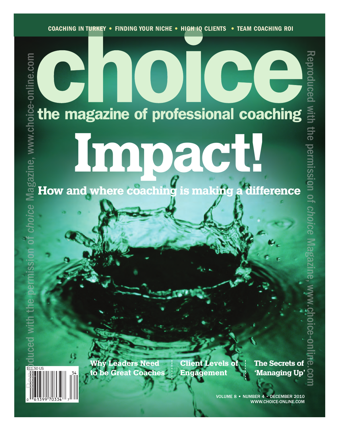# Œ the magazine of professional coaching

Impact!

Why Leaders Need to be Great Coaches

Client Levels of Engagement

The Secrets of **'**Managing Up**'**

Reproduced

With

the

permission

<u>ር</u>

*choice*

Magazine,

www.choice-online.com

VOLUME 8 **•** NUMBER 4 • DECEMBER 2010 WWW.CHOICE-ONLINE.COM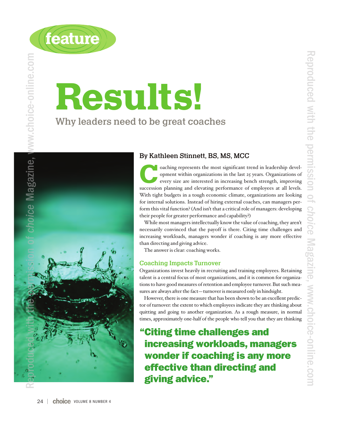



# Results!

Why leaders need to be great coaches



#### By Kathleen Stinnett, BS, MS, MCC

oaching represents the most significant trend in leadership development within organizations in the last 25 years. Organizations of every size are interested in increasing bench strength, improving opment within organizations in the last 25 years. Organizations of every size are interested in increasing bench strength, improving succession planning and elevating performance of employees at all levels. With tight budgets in a tough economic climate, organizations are looking for internal solutions. Instead of hiring external coaches, can managers perform this vital function? (And isn't that a critical role of managers: developing their people for greater performance and capability?)

While most managers intellectually know the value of coaching, they aren't necessarily convinced that the payoff is there. Citing time challenges and increasing workloads, managers wonder if coaching is any more effective than directing and giving advice.

The answer is clear: coaching works.

#### Coaching Impacts Turnover

Organizations invest heavily in recruiting and training employees. Retaining talent is a central focus of most organizations, and it is common for organizations to have good measures of retention and employee turnover. But such measures are always after the fact—turnover is measured only in hindsight.

However, there is one measure that has been shown to be an excellent predictor of turnover: the extent to which employees indicate they are thinking about quitting and going to another organization. As a rough measure, in normal times, approximately one-half of the people who tell you that they are thinking

**"Citing time challenges and increasing workloads, managers wonder if coaching is any more effective than directing and giving advice."**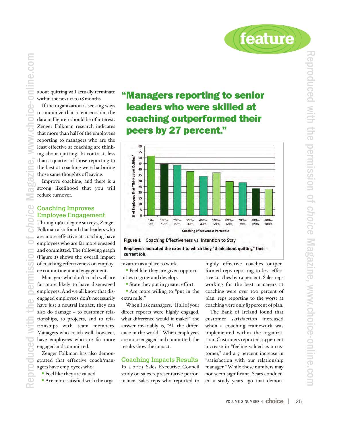

about quitting will actually terminate within the next 12 to 18 months.

e-online.com

**Pill** 

If the organization is seeking ways to minimize that talent erosion, the data in Figure 1 should be of interest. Zenger Folkman research indicates that more than half of the employees reporting to managers who are the least effective at coaching are thinking about quitting. In contrast, less than a quarter of those reporting to the best at coaching were harboring those same thoughts of leaving.

Improve coaching, and there is a strong likelihood that you will reduce turnover.

#### Coaching Improves Employee Engagement

Through 360-degree surveys, Zenger Folkman also found that leaders who are more effective at coaching have employees who are far more engaged and committed. The following graph (Figure 2) shows the overall impact of coaching effectiveness on employee commitment and engagement. Reproduced with the permission of *choice* Magazine, www.choice-online.com

Managers who don't coach well are far more likely to have disengaged employees. And we all know that disengaged employees don't necessarily have just a neutral impact; they can also do damage – to customer relationships, to projects, and to relationships with team members. Managers who coach well, however, have employees who are far more engaged and committed.

Zenger Folkman has also demonstrated that effective coach/managers have employees who:

- Feel like they are valued.
- Are more satisfied with the orga-

### **"Managers reporting to senior leaders who were skilled at coaching outperformed their peers by 27 percent."**





nization as a place to work.

• Feel like they are given opportunities to grow and develop.

• State they put in greater effort.

• Are more willing to "put in the extra mile."

When I ask managers, "If all of your direct reports were highly engaged, what difference would it make?" the answer invariably is, "All the difference in the world." When employees are more engaged and committed, the results show the impact.

#### Coaching Impacts Results

In a 2005 Sales Executive Council study on sales representative performance, sales reps who reported to highly effective coaches outperformed reps reporting to less effective coaches by 19 percent. Sales reps working for the best managers at coaching were over 100 percent of plan; reps reporting to the worst at coaching were only 83 percent of plan.

The Bank of Ireland found that customer satisfaction increased when a coaching framework was implemented within the organization. Customers reported a 3 percent increase in "feeling valued as a customer," and a 5 percent increase in "satisfaction with our relationship manager." While these numbers may not seem significant, Sears conducted a study years ago that demon-